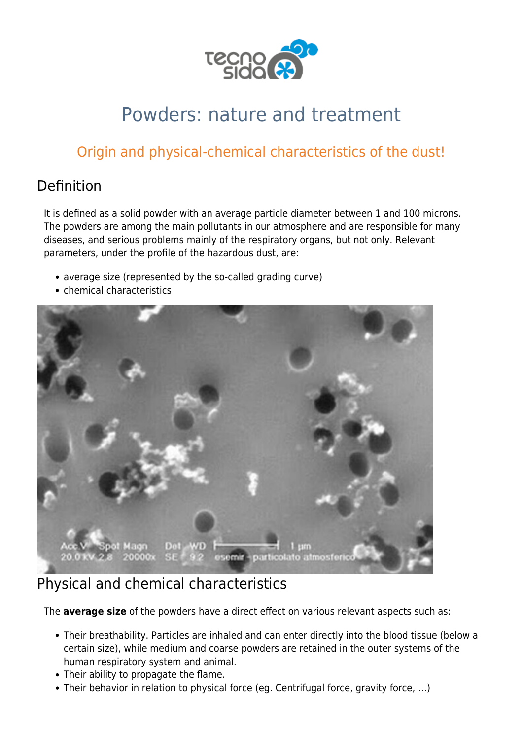

# Powders: nature and treatment

## Origin and physical-chemical characteristics of the dust!

### Definition

It is defined as a solid powder with an average particle diameter between 1 and 100 microns. The powders are among the main pollutants in our atmosphere and are responsible for many diseases, and serious problems mainly of the respiratory organs, but not only. Relevant parameters, under the profile of the hazardous dust, are:

- average size (represented by the so-called grading curve)
- chemical characteristics



#### Physical and chemical characteristics

The **average size** of the powders have a direct effect on various relevant aspects such as:

- Their breathability. Particles are inhaled and can enter directly into the blood tissue (below a certain size), while medium and coarse powders are retained in the outer systems of the human respiratory system and animal.
- Their ability to propagate the flame.
- Their behavior in relation to physical force (eg. Centrifugal force, gravity force, …)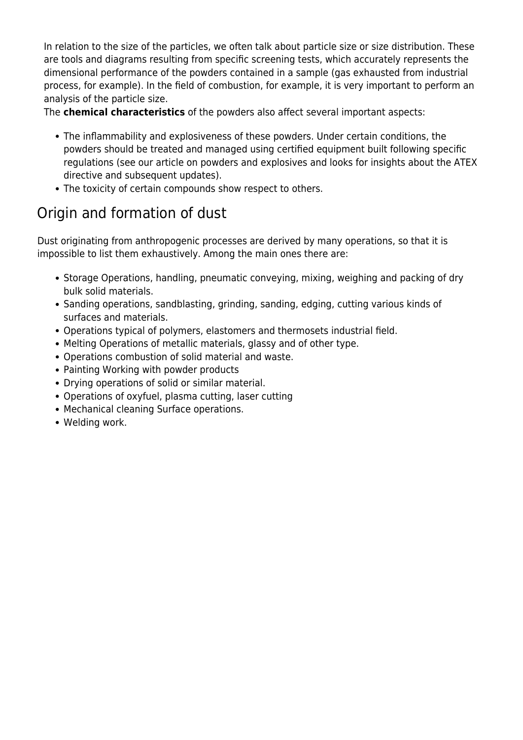In relation to the size of the particles, we often talk about particle size or size distribution. These are tools and diagrams resulting from specific screening tests, which accurately represents the dimensional performance of the powders contained in a sample (gas exhausted from industrial process, for example). In the field of [combustion](https://www.tecnosida.com/biomass-combustion-plants-and-by-products), for example, it is very important to perform an analysis of the [particle size](https://www.tecnosida.com/ultra-fine-dust-origin-and-effects-on-health-and-environment).

The **chemical characteristics** of the powders also affect several important aspects:

- The inflammability and explosiveness of these powders. Under certain conditions, the powders should be treated and managed using certified equipment built following specific regulations (see our article on powders and explosives and looks for insights about the [ATEX](https://www.tecnosida.com/atex-equipment-use-in-explosive-areas) [directive](https://www.tecnosida.com/atex-equipment-use-in-explosive-areas) and subsequent updates).
- The toxicity of certain compounds show respect to others.

## Origin and formation of dust

Dust originating from anthropogenic processes are derived by many operations, so that it is impossible to list them exhaustively. Among the main ones there are:

- Storage Operations, handling, pneumatic conveying, mixing, weighing and packing of dry bulk solid materials.
- Sanding operations, sandblasting, grinding, sanding, edging, cutting various kinds of surfaces and materials.
- Operations typical of polymers, elastomers and thermosets industrial field.
- Melting Operations of metallic materials, glassy and of other type.
- Operations combustion of solid material and waste.
- Painting Working with powder products
- Drying operations of solid or similar material.
- Operations of oxyfuel, plasma cutting, laser cutting
- Mechanical cleaning Surface operations.
- Welding work.